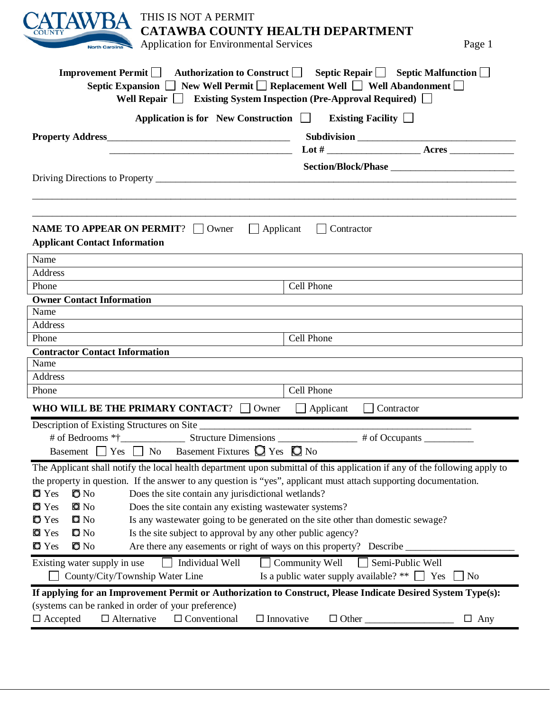| THIS IS NOT A PERMIT<br>CATAWBA COUNTY HEALTH DEPARTMENT<br><b>Application for Environmental Services</b><br>Page 1<br><b>North Carolina</b>                                                                                                                                            |  |  |  |
|-----------------------------------------------------------------------------------------------------------------------------------------------------------------------------------------------------------------------------------------------------------------------------------------|--|--|--|
| Improvement Permit $\Box$ Authorization to Construct $\Box$ Septic Repair $\Box$ Septic Malfunction $\Box$<br>Septic Expansion □ New Well Permit □ Replacement Well □ Well Abandonment □<br>Well Repair <b>Denotes</b> Existing System Inspection (Pre-Approval Required) <b>Denote</b> |  |  |  |
| Application is for New Construction $\Box$<br>Existing Facility $\Box$                                                                                                                                                                                                                  |  |  |  |
|                                                                                                                                                                                                                                                                                         |  |  |  |
| <u> 1989 - Johann Harry Harry Harry Harry Harry Harry Harry Harry Harry Harry Harry Harry Harry Harry Harry Harry</u>                                                                                                                                                                   |  |  |  |
|                                                                                                                                                                                                                                                                                         |  |  |  |
|                                                                                                                                                                                                                                                                                         |  |  |  |
| <b>NAME TO APPEAR ON PERMIT?</b>   Owner<br>$\Box$ Applicant<br>$\vert$ Contractor<br><b>Applicant Contact Information</b>                                                                                                                                                              |  |  |  |
| Name                                                                                                                                                                                                                                                                                    |  |  |  |
| Address                                                                                                                                                                                                                                                                                 |  |  |  |
| Cell Phone<br>Phone<br><b>Owner Contact Information</b>                                                                                                                                                                                                                                 |  |  |  |
| Name                                                                                                                                                                                                                                                                                    |  |  |  |
| Address                                                                                                                                                                                                                                                                                 |  |  |  |
| Cell Phone<br>Phone                                                                                                                                                                                                                                                                     |  |  |  |
| <b>Contractor Contact Information</b>                                                                                                                                                                                                                                                   |  |  |  |
| Name                                                                                                                                                                                                                                                                                    |  |  |  |
| Address                                                                                                                                                                                                                                                                                 |  |  |  |
| Cell Phone<br>Phone                                                                                                                                                                                                                                                                     |  |  |  |
| WHO WILL BE THE PRIMARY CONTACT? $\Box$ Owner<br>Applicant<br>Contractor                                                                                                                                                                                                                |  |  |  |
| Description of Existing Structures on Site                                                                                                                                                                                                                                              |  |  |  |
| # of Occupants                                                                                                                                                                                                                                                                          |  |  |  |
| Basement Fixtures $\bigcirc$ Yes $\bigcirc$ No<br>Basement $\Box$ Yes $\Box$ No                                                                                                                                                                                                         |  |  |  |
| The Applicant shall notify the local health department upon submittal of this application if any of the following apply to                                                                                                                                                              |  |  |  |
| the property in question. If the answer to any question is "yes", applicant must attach supporting documentation.                                                                                                                                                                       |  |  |  |
| $\bullet$ No<br>Does the site contain any jurisdictional wetlands?<br>$\bullet$ Yes                                                                                                                                                                                                     |  |  |  |
| $\blacksquare$ No<br>Does the site contain any existing wastewater systems?<br>$\bullet$ Yes                                                                                                                                                                                            |  |  |  |
| $\blacksquare$ No<br>Is any wastewater going to be generated on the site other than domestic sewage?<br>$\bullet$ Yes                                                                                                                                                                   |  |  |  |
| $\mathbf{D}$ No<br>Is the site subject to approval by any other public agency?<br><b>O</b> Yes                                                                                                                                                                                          |  |  |  |
| $\bullet$ No<br>Are there any easements or right of ways on this property? Describe<br>$\bullet$ Yes                                                                                                                                                                                    |  |  |  |
| Individual Well<br>Community Well<br>Semi-Public Well<br>Existing water supply in use                                                                                                                                                                                                   |  |  |  |
| Is a public water supply available? ** $\Box$ Yes<br>County/City/Township Water Line<br>N <sub>o</sub>                                                                                                                                                                                  |  |  |  |
| If applying for an Improvement Permit or Authorization to Construct, Please Indicate Desired System Type(s):                                                                                                                                                                            |  |  |  |
| (systems can be ranked in order of your preference)                                                                                                                                                                                                                                     |  |  |  |
| $\Box$ Alternative<br>$\Box$ Conventional<br>$\Box$ Innovative<br>$\Box$ Accepted<br>$\Box$ Other $\_\_$<br>$\Box$ Any                                                                                                                                                                  |  |  |  |